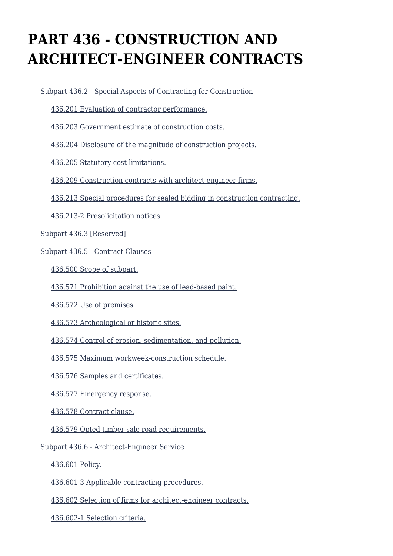# **PART 436 - CONSTRUCTION AND ARCHITECT-ENGINEER CONTRACTS**

[Subpart 436.2 - Special Aspects of Contracting for Construction](https://origin-www.acquisition.gov/%5Brp:link:agar-part-436%5D#Subpart_436_2_T48_40216361)

[436.201 Evaluation of contractor performance.](https://origin-www.acquisition.gov/%5Brp:link:agar-part-436%5D#Section_436_201_T48_4021636111)

[436.203 Government estimate of construction costs.](https://origin-www.acquisition.gov/%5Brp:link:agar-part-436%5D#Section_436_203_T48_4021636112)

[436.204 Disclosure of the magnitude of construction projects.](https://origin-www.acquisition.gov/%5Brp:link:agar-part-436%5D#Section_436_204_T48_4021636113)

[436.205 Statutory cost limitations.](https://origin-www.acquisition.gov/%5Brp:link:agar-part-436%5D#Section_436_205_T48_4021636114)

[436.209 Construction contracts with architect-engineer firms.](https://origin-www.acquisition.gov/%5Brp:link:agar-part-436%5D#Section_436_209_T48_4021636115)

[436.213 Special procedures for sealed bidding in construction contracting.](https://origin-www.acquisition.gov/%5Brp:link:agar-part-436%5D#Section_436_213_T48_4021636116)

[436.213-2 Presolicitation notices.](https://origin-www.acquisition.gov/%5Brp:link:agar-part-436%5D#Section_436_213_2_T48_4021636117)

[Subpart 436.3 \[Reserved\]](https://origin-www.acquisition.gov/%5Brp:link:agar-part-436%5D#Subpart_436_3_T48_40216362)

[Subpart 436.5 - Contract Clauses](https://origin-www.acquisition.gov/%5Brp:link:agar-part-436%5D#Subpart_436_5_T48_40216363)

[436.500 Scope of subpart.](https://origin-www.acquisition.gov/%5Brp:link:agar-part-436%5D#Section_436_500_T48_4021636311)

[436.571 Prohibition against the use of lead-based paint.](https://origin-www.acquisition.gov/%5Brp:link:agar-part-436%5D#Section_436_571_T48_4021636312)

[436.572 Use of premises.](https://origin-www.acquisition.gov/%5Brp:link:agar-part-436%5D#Section_436_572_T48_4021636313)

[436.573 Archeological or historic sites.](https://origin-www.acquisition.gov/%5Brp:link:agar-part-436%5D#Section_436_573_T48_4021636314)

[436.574 Control of erosion, sedimentation, and pollution.](https://origin-www.acquisition.gov/%5Brp:link:agar-part-436%5D#Section_436_574_T48_4021636315)

[436.575 Maximum workweek-construction schedule.](https://origin-www.acquisition.gov/%5Brp:link:agar-part-436%5D#Section_436_575_T48_4021636316)

[436.576 Samples and certificates.](https://origin-www.acquisition.gov/%5Brp:link:agar-part-436%5D#Section_436_576_T48_4021636317)

[436.577 Emergency response.](https://origin-www.acquisition.gov/%5Brp:link:agar-part-436%5D#Section_436_577_T48_4021636318)

[436.578 Contract clause.](https://origin-www.acquisition.gov/%5Brp:link:agar-part-436%5D#Section_436_578_T48_4021636319)

[436.579 Opted timber sale road requirements.](https://origin-www.acquisition.gov/%5Brp:link:agar-part-436%5D#Section_436_579_T48_40216363110)

[Subpart 436.6 - Architect-Engineer Service](https://origin-www.acquisition.gov/%5Brp:link:agar-part-436%5D#Subpart_436_6_T48_40216364)

[436.601 Policy.](https://origin-www.acquisition.gov/%5Brp:link:agar-part-436%5D#Section_436_601_T48_4021636411)

[436.601-3 Applicable contracting procedures.](https://origin-www.acquisition.gov/%5Brp:link:agar-part-436%5D#Section_436_601_3_T48_4021636412)

[436.602 Selection of firms for architect-engineer contracts.](https://origin-www.acquisition.gov/%5Brp:link:agar-part-436%5D#Section_436_602_T48_4021636413)

[436.602-1 Selection criteria.](https://origin-www.acquisition.gov/%5Brp:link:agar-part-436%5D#Section_436_602_1_T48_4021636414)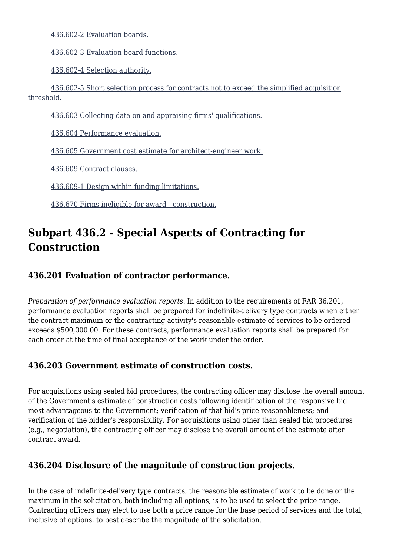[436.602-2 Evaluation boards.](https://origin-www.acquisition.gov/%5Brp:link:agar-part-436%5D#Section_436_602_2_T48_4021636415)

[436.602-3 Evaluation board functions.](https://origin-www.acquisition.gov/%5Brp:link:agar-part-436%5D#Section_436_602_3_T48_4021636416)

[436.602-4 Selection authority.](https://origin-www.acquisition.gov/%5Brp:link:agar-part-436%5D#Section_436_602_4_T48_4021636417)

 [436.602-5 Short selection process for contracts not to exceed the simplified acquisition](https://origin-www.acquisition.gov/%5Brp:link:agar-part-436%5D#Section_436_602_5_T48_4021636418) [threshold.](https://origin-www.acquisition.gov/%5Brp:link:agar-part-436%5D#Section_436_602_5_T48_4021636418)

[436.603 Collecting data on and appraising firms' qualifications.](https://origin-www.acquisition.gov/%5Brp:link:agar-part-436%5D#Section_436_603_T48_4021636419)

[436.604 Performance evaluation.](https://origin-www.acquisition.gov/%5Brp:link:agar-part-436%5D#Section_436_604_T48_40216364110)

[436.605 Government cost estimate for architect-engineer work.](https://origin-www.acquisition.gov/%5Brp:link:agar-part-436%5D#Section_436_605_T48_40216364111)

[436.609 Contract clauses.](https://origin-www.acquisition.gov/%5Brp:link:agar-part-436%5D#Section_436_609_T48_40216364112)

[436.609-1 Design within funding limitations.](https://origin-www.acquisition.gov/%5Brp:link:agar-part-436%5D#Section_436_609_1_T48_40216364113)

[436.670 Firms ineligible for award - construction.](https://origin-www.acquisition.gov/%5Brp:link:agar-part-436%5D#Section_436_670_T48_40216364114)

# **Subpart 436.2 - Special Aspects of Contracting for Construction**

#### **436.201 Evaluation of contractor performance.**

*Preparation of performance evaluation reports.* In addition to the requirements of FAR 36.201, performance evaluation reports shall be prepared for indefinite-delivery type contracts when either the contract maximum or the contracting activity's reasonable estimate of services to be ordered exceeds \$500,000.00. For these contracts, performance evaluation reports shall be prepared for each order at the time of final acceptance of the work under the order.

#### **436.203 Government estimate of construction costs.**

For acquisitions using sealed bid procedures, the contracting officer may disclose the overall amount of the Government's estimate of construction costs following identification of the responsive bid most advantageous to the Government; verification of that bid's price reasonableness; and verification of the bidder's responsibility. For acquisitions using other than sealed bid procedures (e.g., negotiation), the contracting officer may disclose the overall amount of the estimate after contract award.

#### **436.204 Disclosure of the magnitude of construction projects.**

In the case of indefinite-delivery type contracts, the reasonable estimate of work to be done or the maximum in the solicitation, both including all options, is to be used to select the price range. Contracting officers may elect to use both a price range for the base period of services and the total, inclusive of options, to best describe the magnitude of the solicitation.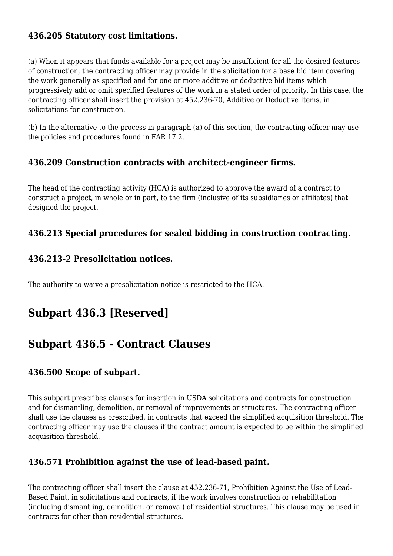# **436.205 Statutory cost limitations.**

(a) When it appears that funds available for a project may be insufficient for all the desired features of construction, the contracting officer may provide in the solicitation for a base bid item covering the work generally as specified and for one or more additive or deductive bid items which progressively add or omit specified features of the work in a stated order of priority. In this case, the contracting officer shall insert the provision at 452.236-70, Additive or Deductive Items, in solicitations for construction.

(b) In the alternative to the process in paragraph (a) of this section, the contracting officer may use the policies and procedures found in FAR 17.2.

#### **436.209 Construction contracts with architect-engineer firms.**

The head of the contracting activity (HCA) is authorized to approve the award of a contract to construct a project, in whole or in part, to the firm (inclusive of its subsidiaries or affiliates) that designed the project.

# **436.213 Special procedures for sealed bidding in construction contracting.**

#### **436.213-2 Presolicitation notices.**

The authority to waive a presolicitation notice is restricted to the HCA.

# **Subpart 436.3 [Reserved]**

# **Subpart 436.5 - Contract Clauses**

#### **436.500 Scope of subpart.**

This subpart prescribes clauses for insertion in USDA solicitations and contracts for construction and for dismantling, demolition, or removal of improvements or structures. The contracting officer shall use the clauses as prescribed, in contracts that exceed the simplified acquisition threshold. The contracting officer may use the clauses if the contract amount is expected to be within the simplified acquisition threshold.

# **436.571 Prohibition against the use of lead-based paint.**

The contracting officer shall insert the clause at 452.236-71, Prohibition Against the Use of Lead-Based Paint, in solicitations and contracts, if the work involves construction or rehabilitation (including dismantling, demolition, or removal) of residential structures. This clause may be used in contracts for other than residential structures.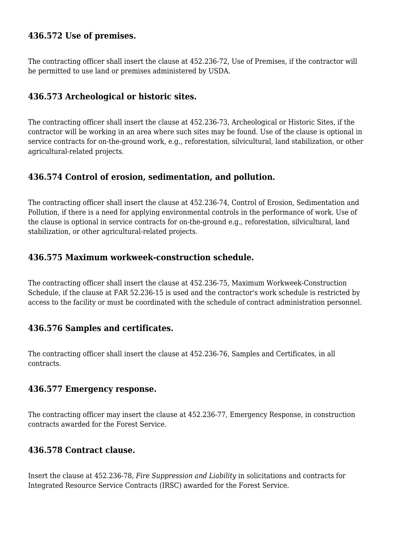#### **436.572 Use of premises.**

The contracting officer shall insert the clause at 452.236-72, Use of Premises, if the contractor will be permitted to use land or premises administered by USDA.

# **436.573 Archeological or historic sites.**

The contracting officer shall insert the clause at 452.236-73, Archeological or Historic Sites, if the contractor will be working in an area where such sites may be found. Use of the clause is optional in service contracts for on-the-ground work, e.g., reforestation, silvicultural, land stabilization, or other agricultural-related projects.

#### **436.574 Control of erosion, sedimentation, and pollution.**

The contracting officer shall insert the clause at 452.236-74, Control of Erosion, Sedimentation and Pollution, if there is a need for applying environmental controls in the performance of work. Use of the clause is optional in service contracts for on-the-ground e.g., reforestation, silvicultural, land stabilization, or other agricultural-related projects.

#### **436.575 Maximum workweek-construction schedule.**

The contracting officer shall insert the clause at 452.236-75, Maximum Workweek-Construction Schedule, if the clause at FAR 52.236-15 is used and the contractor's work schedule is restricted by access to the facility or must be coordinated with the schedule of contract administration personnel.

#### **436.576 Samples and certificates.**

The contracting officer shall insert the clause at 452.236-76, Samples and Certificates, in all contracts.

#### **436.577 Emergency response.**

The contracting officer may insert the clause at 452.236-77, Emergency Response, in construction contracts awarded for the Forest Service.

# **436.578 Contract clause.**

Insert the clause at 452.236-78, *Fire Suppression and Liability* in solicitations and contracts for Integrated Resource Service Contracts (IRSC) awarded for the Forest Service.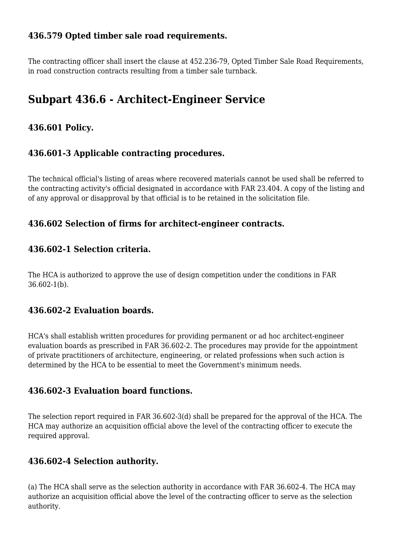# **436.579 Opted timber sale road requirements.**

The contracting officer shall insert the clause at 452.236-79, Opted Timber Sale Road Requirements, in road construction contracts resulting from a timber sale turnback.

# **Subpart 436.6 - Architect-Engineer Service**

# **436.601 Policy.**

# **436.601-3 Applicable contracting procedures.**

The technical official's listing of areas where recovered materials cannot be used shall be referred to the contracting activity's official designated in accordance with FAR 23.404. A copy of the listing and of any approval or disapproval by that official is to be retained in the solicitation file.

#### **436.602 Selection of firms for architect-engineer contracts.**

# **436.602-1 Selection criteria.**

The HCA is authorized to approve the use of design competition under the conditions in FAR 36.602-1(b).

#### **436.602-2 Evaluation boards.**

HCA's shall establish written procedures for providing permanent or ad hoc architect-engineer evaluation boards as prescribed in FAR 36.602-2. The procedures may provide for the appointment of private practitioners of architecture, engineering, or related professions when such action is determined by the HCA to be essential to meet the Government's minimum needs.

# **436.602-3 Evaluation board functions.**

The selection report required in FAR 36.602-3(d) shall be prepared for the approval of the HCA. The HCA may authorize an acquisition official above the level of the contracting officer to execute the required approval.

# **436.602-4 Selection authority.**

(a) The HCA shall serve as the selection authority in accordance with FAR 36.602-4. The HCA may authorize an acquisition official above the level of the contracting officer to serve as the selection authority.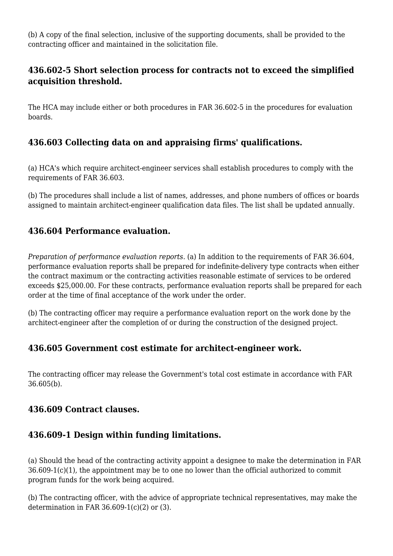(b) A copy of the final selection, inclusive of the supporting documents, shall be provided to the contracting officer and maintained in the solicitation file.

# **436.602-5 Short selection process for contracts not to exceed the simplified acquisition threshold.**

The HCA may include either or both procedures in FAR 36.602-5 in the procedures for evaluation boards.

# **436.603 Collecting data on and appraising firms' qualifications.**

(a) HCA's which require architect-engineer services shall establish procedures to comply with the requirements of FAR 36.603.

(b) The procedures shall include a list of names, addresses, and phone numbers of offices or boards assigned to maintain architect-engineer qualification data files. The list shall be updated annually.

# **436.604 Performance evaluation.**

*Preparation of performance evaluation reports.* (a) In addition to the requirements of FAR 36.604, performance evaluation reports shall be prepared for indefinite-delivery type contracts when either the contract maximum or the contracting activities reasonable estimate of services to be ordered exceeds \$25,000.00. For these contracts, performance evaluation reports shall be prepared for each order at the time of final acceptance of the work under the order.

(b) The contracting officer may require a performance evaluation report on the work done by the architect-engineer after the completion of or during the construction of the designed project.

# **436.605 Government cost estimate for architect-engineer work.**

The contracting officer may release the Government's total cost estimate in accordance with FAR 36.605(b).

#### **436.609 Contract clauses.**

# **436.609-1 Design within funding limitations.**

(a) Should the head of the contracting activity appoint a designee to make the determination in FAR 36.609-1(c)(1), the appointment may be to one no lower than the official authorized to commit program funds for the work being acquired.

(b) The contracting officer, with the advice of appropriate technical representatives, may make the determination in FAR  $36.609-1(c)(2)$  or (3).